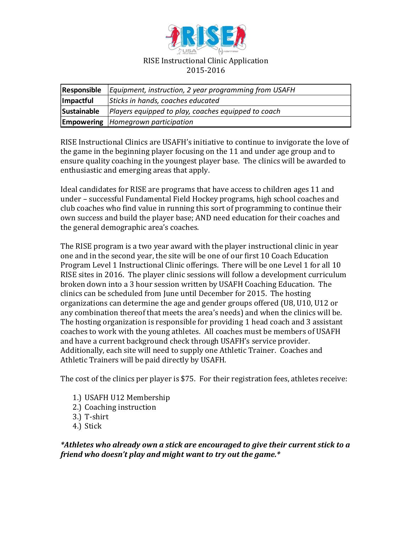

| Responsible | Equipment, instruction, 2 year programming from USAFH |
|-------------|-------------------------------------------------------|
| Impactful   | Sticks in hands, coaches educated                     |
| Sustainable | Players equipped to play, coaches equipped to coach   |
|             | <b>Empowering</b> Homegrown participation             |

RISE Instructional Clinics are USAFH's initiative to continue to invigorate the love of the game in the beginning player focusing on the 11 and under age group and to ensure quality coaching in the youngest player base. The clinics will be awarded to enthusiastic and emerging areas that apply.

Ideal candidates for RISE are programs that have access to children ages 11 and under – successful Fundamental Field Hockey programs, high school coaches and club coaches who find value in running this sort of programming to continue their own success and build the player base; AND need education for their coaches and the general demographic area's coaches.

The RISE program is a two year award with the player instructional clinic in year one and in the second year, the site will be one of our first 10 Coach Education Program Level 1 Instructional Clinic offerings. There will be one Level 1 for all 10 RISE sites in 2016. The player clinic sessions will follow a development curriculum broken down into a 3 hour session written by USAFH Coaching Education. The clinics can be scheduled from June until December for 2015. The hosting organizations can determine the age and gender groups offered (U8, U10, U12 or any combination thereof that meets the area's needs) and when the clinics will be. The hosting organization is responsible for providing 1 head coach and 3 assistant coaches to work with the young athletes. All coaches must be members of USAFH and have a current background check through USAFH's service provider. Additionally, each site will need to supply one Athletic Trainer. Coaches and Athletic Trainers will be paid directly by USAFH.

The cost of the clinics per player is \$75. For their registration fees, athletes receive:

- 1.) USAFH U12 Membership
- 2.) Coaching instruction
- 3.) T-shirt
- 4.) Stick

*\*Athletes who already own a stick are encouraged to give their current stick to a friend who doesn't play and might want to try out the game.\**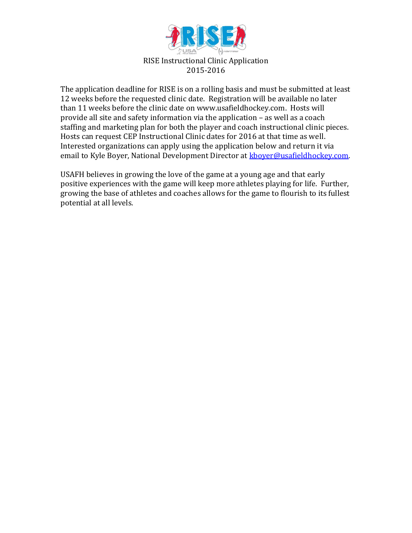

The application deadline for RISE is on a rolling basis and must be submitted at least 12 weeks before the requested clinic date. Registration will be available no later than 11 weeks before the clinic date on www.usafieldhockey.com. Hosts will provide all site and safety information via the application – as well as a coach staffing and marketing plan for both the player and coach instructional clinic pieces. Hosts can request CEP Instructional Clinic dates for 2016 at that time as well. Interested organizations can apply using the application below and return it via email to Kyle Boyer, National Development Director at [kboyer@usafieldhockey.com.](mailto:kboyer@usafieldhockey.com)

USAFH believes in growing the love of the game at a young age and that early positive experiences with the game will keep more athletes playing for life. Further, growing the base of athletes and coaches allows for the game to flourish to its fullest potential at all levels.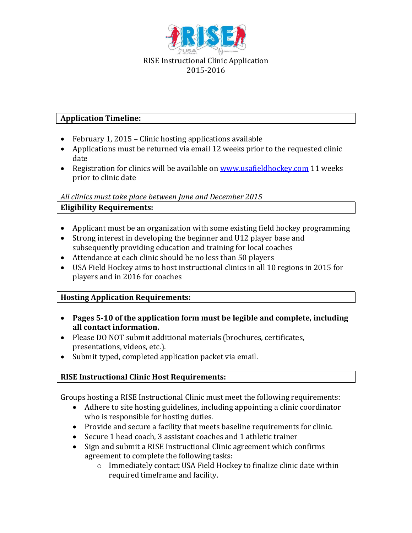

## **Application Timeline:**

- February 1, 2015 Clinic hosting applications available
- Applications must be returned via email 12 weeks prior to the requested clinic date
- Registration for clinics will be available on [www.usafieldhockey.com](http://www.usafieldhockey.com/) 11 weeks prior to clinic date

## *All clinics must take place between June and December 2015*

## **Eligibility Requirements:**

- Applicant must be an organization with some existing field hockey programming
- Strong interest in developing the beginner and U12 player base and subsequently providing education and training for local coaches
- Attendance at each clinic should be no less than 50 players
- USA Field Hockey aims to host instructional clinics in all 10 regions in 2015 for players and in 2016 for coaches

## **Hosting Application Requirements:**

- **Pages 5-10 of the application form must be legible and complete, including all contact information.**
- Please DO NOT submit additional materials (brochures, certificates, presentations, videos, etc.).
- Submit typed, completed application packet via email.

## **RISE Instructional Clinic Host Requirements:**

Groups hosting a RISE Instructional Clinic must meet the following requirements:

- Adhere to site hosting guidelines, including appointing a clinic coordinator who is responsible for hosting duties.
- Provide and secure a facility that meets baseline requirements for clinic.
- Secure 1 head coach, 3 assistant coaches and 1 athletic trainer
- Sign and submit a RISE Instructional Clinic agreement which confirms agreement to complete the following tasks:
	- o Immediately contact USA Field Hockey to finalize clinic date within required timeframe and facility.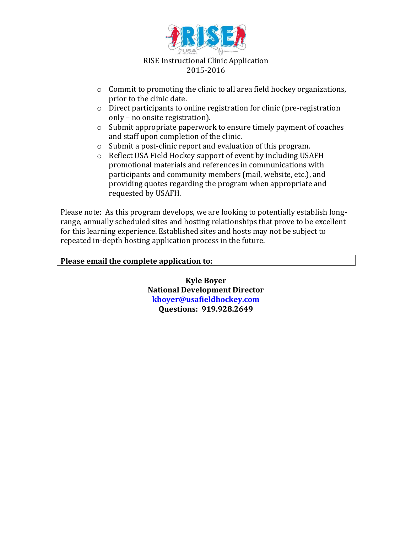

- o Commit to promoting the clinic to all area field hockey organizations, prior to the clinic date.
- o Direct participants to online registration for clinic (pre-registration only – no onsite registration).
- o Submit appropriate paperwork to ensure timely payment of coaches and staff upon completion of the clinic.
- o Submit a post-clinic report and evaluation of this program.
- o Reflect USA Field Hockey support of event by including USAFH promotional materials and references in communications with participants and community members (mail, website, etc.), and providing quotes regarding the program when appropriate and requested by USAFH.

Please note: As this program develops, we are looking to potentially establish longrange, annually scheduled sites and hosting relationships that prove to be excellent for this learning experience. Established sites and hosts may not be subject to repeated in-depth hosting application process in the future.

#### **Please email the complete application to:**

**Kyle Boyer National Development Director [kboyer@usafieldhockey.com](mailto:kboyer@usafieldhockey.com) Questions: 919.928.2649**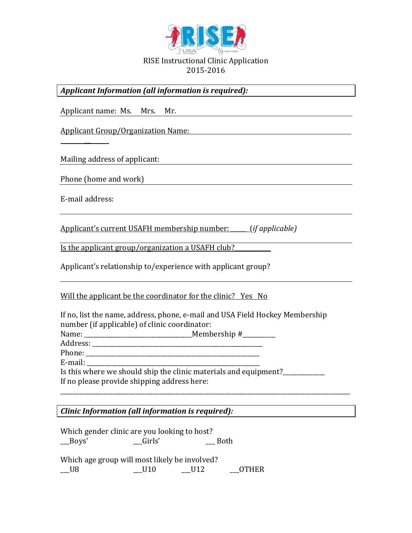

*Applicant Information (all information is required):*

Applicant name: Ms. Mrs. Mr. Applicant Group/Organization Name:  $\overline{a}$ Mailing address of applicant: Phone (home and work) E-mail address: Applicant's current USAFH membership number: \_\_\_\_\_ (*if applicable)* Is the applicant group/organization a USAFH club? Applicant's relationship to/experience with applicant group? Will the applicant be the coordinator for the clinic? Yes No If no, list the name, address, phone, e-mail and USA Field Hockey Membership number (if applicable) of clinic coordinator: Name: \_\_\_\_\_\_\_\_\_\_\_\_\_\_\_\_\_\_\_\_\_\_\_\_\_\_\_\_\_\_\_\_\_\_\_\_Membership #\_\_\_\_\_\_\_\_\_\_\_ Address: \_\_\_\_\_\_\_\_\_\_\_\_\_\_\_\_\_\_\_\_\_\_\_\_\_\_\_\_\_\_\_\_\_\_\_\_\_\_\_\_\_\_\_\_\_\_\_\_\_\_\_\_\_\_\_\_\_ Phone: \_\_\_\_\_\_\_\_\_\_\_\_\_\_\_\_\_\_\_\_\_\_\_\_\_\_\_\_\_\_\_\_\_\_\_\_\_\_\_\_\_\_\_\_\_\_\_\_\_\_\_\_\_\_\_\_\_\_ E-mail: Is this where we should ship the clinic materials and equipment?\_\_\_\_\_\_\_\_\_\_\_\_\_\_\_\_ If no please provide shipping address here: \_\_\_\_\_\_\_\_\_\_\_\_\_\_\_\_\_\_\_\_\_\_\_\_\_\_\_\_\_\_\_\_\_\_\_\_\_\_\_\_\_\_\_\_\_\_\_\_\_\_\_\_\_\_\_\_\_\_\_\_\_\_\_\_\_\_\_\_\_\_\_\_\_\_\_\_\_\_\_\_\_\_\_\_\_\_\_\_\_\_\_\_\_\_\_\_\_ *Clinic Information (all information is required):*

Which gender clinic are you looking to host? Boys' Girls' Ghangs Both Which age group will most likely be involved? \_\_U8 \_\_\_\_\_\_U10 \_\_\_\_\_U12 \_\_\_\_\_OTHER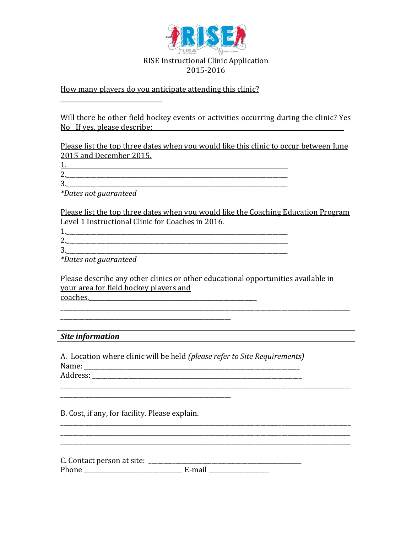

#### How many players do you anticipate attending this clinic?

Will there be other field hockey events or activities occurring during the clinic? Yes No If yes, please describe:

Please list the top three dates when you would like this clinic to occur between June 2015 and December 2015.

1.\_\_\_\_\_\_\_\_\_\_\_\_\_\_\_\_\_\_\_\_\_\_\_\_\_\_\_\_\_\_\_\_\_\_\_\_\_\_\_\_\_\_\_\_\_\_\_\_\_\_\_\_\_\_\_\_\_\_\_\_\_\_\_\_\_\_\_\_\_\_\_\_\_\_ 2.\_\_\_\_\_\_\_\_\_\_\_\_\_\_\_\_\_\_\_\_\_\_\_\_\_\_\_\_\_\_\_\_\_\_\_\_\_\_\_\_\_\_\_\_\_\_\_\_\_\_\_\_\_\_\_\_\_\_\_\_\_\_\_\_\_\_\_\_\_\_\_\_\_\_  $3.$ 

*\*Dates not guaranteed*

Please list the top three dates when you would like the Coaching Education Program Level 1 Instructional Clinic for Coaches in 2016.

1.\_\_\_\_\_\_\_\_\_\_\_\_\_\_\_\_\_\_\_\_\_\_\_\_\_\_\_\_\_\_\_\_\_\_\_\_\_\_\_\_\_\_\_\_\_\_\_\_\_\_\_\_\_\_\_\_\_\_\_\_\_\_\_\_\_\_\_\_\_\_\_\_\_\_ 2.\_\_\_\_\_\_\_\_\_\_\_\_\_\_\_\_\_\_\_\_\_\_\_\_\_\_\_\_\_\_\_\_\_\_\_\_\_\_\_\_\_\_\_\_\_\_\_\_\_\_\_\_\_\_\_\_\_\_\_\_\_\_\_\_\_\_\_\_\_\_\_\_\_\_ 3.\_\_\_\_\_\_\_\_\_\_\_\_\_\_\_\_\_\_\_\_\_\_\_\_\_\_\_\_\_\_\_\_\_\_\_\_\_\_\_\_\_\_\_\_\_\_\_\_\_\_\_\_\_\_\_\_\_\_\_\_\_\_\_\_\_\_\_\_\_\_\_\_\_\_

*\*Dates not guaranteed*

\_\_\_\_\_\_\_\_\_\_\_\_\_\_\_\_\_\_\_\_\_\_\_\_\_\_\_\_\_\_\_\_\_\_

Please describe any other clinics or other educational opportunities available in your area for field hockey players and coaches.  $\mathcal{L}_\mathcal{L} = \mathcal{L}_\mathcal{L} = \mathcal{L}_\mathcal{L} = \mathcal{L}_\mathcal{L} = \mathcal{L}_\mathcal{L} = \mathcal{L}_\mathcal{L} = \mathcal{L}_\mathcal{L} = \mathcal{L}_\mathcal{L} = \mathcal{L}_\mathcal{L} = \mathcal{L}_\mathcal{L} = \mathcal{L}_\mathcal{L} = \mathcal{L}_\mathcal{L}$ 

# \_\_\_\_\_\_\_\_\_\_\_\_\_\_\_\_\_\_\_\_\_\_\_\_\_\_\_\_\_\_\_\_\_\_\_\_\_\_\_\_\_\_\_\_\_\_\_\_\_\_\_\_\_\_\_\_\_ *Site information*

A. Location where clinic will be held *(please refer to Site Requirements)* Name: \_\_\_\_\_\_\_\_\_\_\_\_\_\_\_\_\_\_\_\_\_\_\_\_\_\_\_\_\_\_\_\_\_\_\_\_\_\_\_\_\_\_\_\_\_\_\_\_\_\_\_\_\_\_\_\_\_\_\_\_\_\_\_\_\_\_\_\_\_\_\_\_ Address: \_\_\_\_\_\_\_\_\_\_\_\_\_\_\_\_\_\_\_\_\_\_\_\_\_\_\_\_\_\_\_\_\_\_\_\_\_\_\_\_\_\_\_\_\_\_\_\_\_\_\_\_\_\_\_\_\_\_\_\_\_\_\_\_\_\_\_\_\_\_

\_\_\_\_\_\_\_\_\_\_\_\_\_\_\_\_\_\_\_\_\_\_\_\_\_\_\_\_\_\_\_\_\_\_\_\_\_\_\_\_\_\_\_\_\_\_\_\_\_\_\_\_\_\_\_\_\_\_\_\_\_\_\_\_\_\_\_\_\_\_\_\_\_\_\_\_\_\_\_\_\_\_\_\_\_\_\_\_\_\_\_\_\_\_\_\_\_

\_\_\_\_\_\_\_\_\_\_\_\_\_\_\_\_\_\_\_\_\_\_\_\_\_\_\_\_\_\_\_\_\_\_\_\_\_\_\_\_\_\_\_\_\_\_\_\_\_\_\_\_\_\_\_\_\_\_\_\_\_\_\_\_\_\_\_\_\_\_\_\_\_\_\_\_\_\_\_\_\_\_\_\_\_\_\_\_\_\_\_\_\_\_\_\_\_ \_\_\_\_\_\_\_\_\_\_\_\_\_\_\_\_\_\_\_\_\_\_\_\_\_\_\_\_\_\_\_\_\_\_\_\_\_\_\_\_\_\_\_\_\_\_\_\_\_\_\_\_\_\_\_\_\_\_\_\_\_\_\_\_\_\_\_\_\_\_\_\_\_\_\_\_\_\_\_\_\_\_\_\_\_\_\_\_\_\_\_\_\_\_\_\_\_

B. Cost, if any, for facility. Please explain.

\_\_\_\_\_\_\_\_\_\_\_\_\_\_\_\_\_\_\_\_\_\_\_\_\_\_\_\_\_\_\_\_\_\_\_\_\_\_\_\_\_\_\_\_\_\_\_\_\_\_\_\_\_\_\_\_\_

C. Contact person at site: \_\_\_\_\_\_\_\_\_\_\_\_\_\_\_\_\_\_\_\_\_\_\_\_\_\_\_\_\_\_\_\_\_\_\_\_\_\_\_\_\_\_\_\_\_\_\_\_\_\_\_ Phone \_\_\_\_\_\_\_\_\_\_\_\_\_\_\_\_\_\_\_\_\_\_\_\_\_\_\_\_\_\_\_\_\_ E-mail \_\_\_\_\_\_\_\_\_\_\_\_\_\_\_\_\_\_\_\_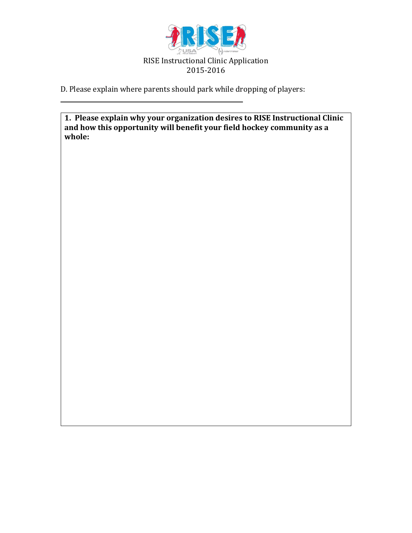

D. Please explain where parents should park while dropping of players:

 $\frac{1}{2}$  ,  $\frac{1}{2}$  ,  $\frac{1}{2}$  ,  $\frac{1}{2}$  ,  $\frac{1}{2}$  ,  $\frac{1}{2}$  ,  $\frac{1}{2}$  ,  $\frac{1}{2}$  ,  $\frac{1}{2}$  ,  $\frac{1}{2}$  ,  $\frac{1}{2}$  ,  $\frac{1}{2}$  ,  $\frac{1}{2}$  ,  $\frac{1}{2}$  ,  $\frac{1}{2}$  ,  $\frac{1}{2}$  ,  $\frac{1}{2}$  ,  $\frac{1}{2}$  ,  $\frac{1$ 

**1. Please explain why your organization desires to RISE Instructional Clinic and how this opportunity will benefit your field hockey community as a whole:**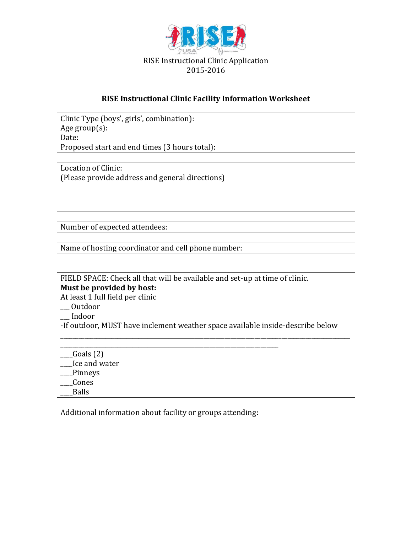

#### **RISE Instructional Clinic Facility Information Worksheet**

Clinic Type (boys', girls', combination): Age group(s): Date: Proposed start and end times (3 hours total):

Location of Clinic: (Please provide address and general directions)

Number of expected attendees:

Name of hosting coordinator and cell phone number:

FIELD SPACE: Check all that will be available and set-up at time of clinic. **Must be provided by host:**

At least 1 full field per clinic

\_\_\_ Outdoor

\_\_\_ Indoor

-If outdoor, MUST have inclement weather space available inside-describe below

\_\_\_\_\_\_\_\_\_\_\_\_\_\_\_\_\_\_\_\_\_\_\_\_\_\_\_\_\_\_\_\_\_\_\_\_\_\_\_\_\_\_\_\_\_\_\_\_\_\_\_\_\_\_\_\_\_\_\_\_\_\_\_\_\_\_\_\_\_\_\_\_\_\_\_\_\_\_\_\_\_\_\_\_\_\_\_\_\_\_\_\_\_\_\_\_\_

\_\_\_\_\_\_\_\_\_\_\_\_\_\_\_\_\_\_\_\_\_\_\_\_\_\_\_\_\_\_\_\_\_\_\_\_\_\_\_\_\_\_\_\_\_\_\_\_\_\_\_\_\_\_\_\_\_\_\_\_\_\_\_\_\_\_\_\_\_\_\_\_\_  $\qquad \qquad$  Goals (2) \_\_\_\_Ice and water

\_\_\_\_Pinneys

\_\_\_\_Cones

\_\_\_\_Balls

Additional information about facility or groups attending: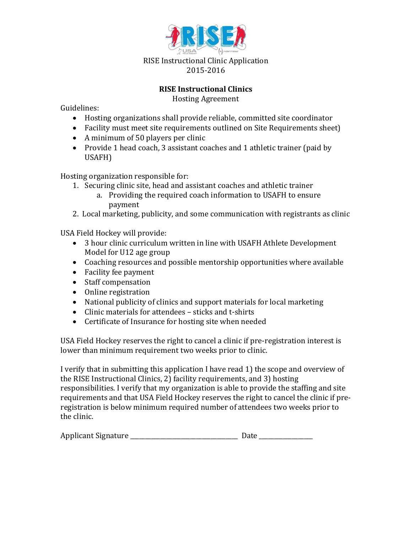

### **RISE Instructional Clinics**

Hosting Agreement

Guidelines:

- Hosting organizations shall provide reliable, committed site coordinator
- Facility must meet site requirements outlined on Site Requirements sheet)
- A minimum of 50 players per clinic
- Provide 1 head coach, 3 assistant coaches and 1 athletic trainer (paid by USAFH)

Hosting organization responsible for:

- 1. Securing clinic site, head and assistant coaches and athletic trainer
	- a. Providing the required coach information to USAFH to ensure payment
- 2. Local marketing, publicity, and some communication with registrants as clinic

USA Field Hockey will provide:

- 3 hour clinic curriculum written in line with USAFH Athlete Development Model for U12 age group
- Coaching resources and possible mentorship opportunities where available
- Facility fee payment
- Staff compensation
- Online registration
- National publicity of clinics and support materials for local marketing
- Clinic materials for attendees sticks and t-shirts
- Certificate of Insurance for hosting site when needed

USA Field Hockey reserves the right to cancel a clinic if pre-registration interest is lower than minimum requirement two weeks prior to clinic.

I verify that in submitting this application I have read 1) the scope and overview of the RISE Instructional Clinics, 2) facility requirements, and 3) hosting responsibilities. I verify that my organization is able to provide the staffing and site requirements and that USA Field Hockey reserves the right to cancel the clinic if preregistration is below minimum required number of attendees two weeks prior to the clinic.

| <b>Applicant Signature</b> |  |
|----------------------------|--|
|                            |  |